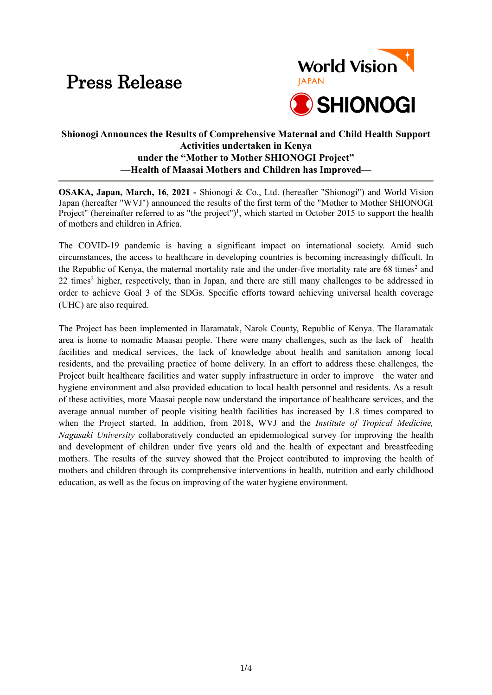# Press Release



# **Shionogi Announces the Results of Comprehensive Maternal and Child Health Support Activities undertaken in Kenya under the "Mother to Mother SHIONOGI Project" —Health of Maasai Mothers and Children has Improved—**

**OSAKA, Japan, March, 16, 2021 -** Shionogi & Co., Ltd. (hereafter "Shionogi") and World Vision Japan (hereafter "WVJ") announced the results of the first term of the "Mother to Mother SHIONOGI Project" (hereinafter referred to as "the project")<sup>1</sup>, which started in October 2015 to support the health of mothers and children in Africa.

The COVID-19 pandemic is having a significant impact on international society. Amid such circumstances, the access to healthcare in developing countries is becoming increasingly difficult. In the Republic of Kenya, the maternal mortality rate and the under-five mortality rate are 68 times<sup>2</sup> and 22 times<sup>2</sup> higher, respectively, than in Japan, and there are still many challenges to be addressed in order to achieve Goal 3 of the SDGs. Specific efforts toward achieving universal health coverage (UHC) are also required.

The Project has been implemented in Ilaramatak, Narok County, Republic of Kenya. The Ilaramatak area is home to nomadic Maasai people. There were many challenges, such as the lack of health facilities and medical services, the lack of knowledge about health and sanitation among local residents, and the prevailing practice of home delivery. In an effort to address these challenges, the Project built healthcare facilities and water supply infrastructure in order to improve the water and hygiene environment and also provided education to local health personnel and residents. As a result of these activities, more Maasai people now understand the importance of healthcare services, and the average annual number of people visiting health facilities has increased by 1.8 times compared to when the Project started. In addition, from 2018, WVJ and the *Institute of Tropical Medicine, Nagasaki University* collaboratively conducted an epidemiological survey for improving the health and development of children under five years old and the health of expectant and breastfeeding mothers. The results of the survey showed that the Project contributed to improving the health of mothers and children through its comprehensive interventions in health, nutrition and early childhood education, as well as the focus on improving of the water hygiene environment.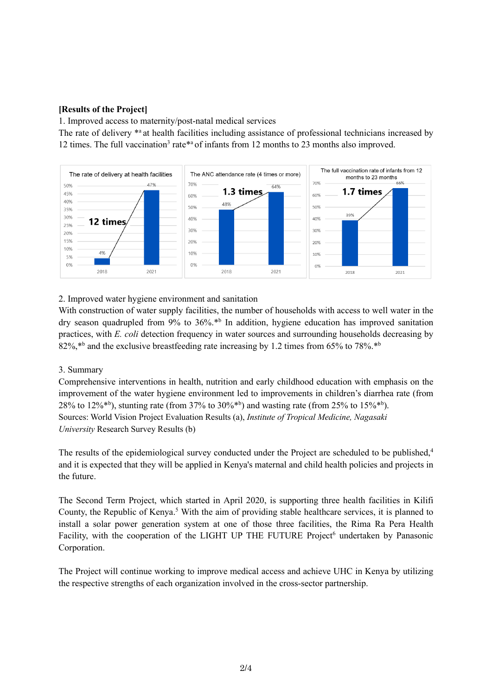# **[Results of the Project]**

1. Improved access to maternity/post-natal medical services

The rate of delivery \*a at health facilities including assistance of professional technicians increased by 12 times. The full vaccination<sup>3</sup> rate\*<sup>a</sup> of infants from 12 months to 23 months also improved.



# 2. Improved water hygiene environment and sanitation

With construction of water supply facilities, the number of households with access to well water in the dry season quadrupled from 9% to 36%.\*b In addition, hygiene education has improved sanitation practices, with *E. coli* detection frequency in water sources and surrounding households decreasing by 82%,<sup>\*b</sup> and the exclusive breastfeeding rate increasing by 1.2 times from 65% to 78%.<sup>\*b</sup>

## 3. Summary

Comprehensive interventions in health, nutrition and early childhood education with emphasis on the improvement of the water hygiene environment led to improvements in children's diarrhea rate (from 28% to 12%<sup>\*b</sup>), stunting rate (from 37% to 30%<sup>\*b</sup>) and wasting rate (from 25% to 15%<sup>\*b</sup>). Sources: World Vision Project Evaluation Results (a), *Institute of Tropical Medicine, Nagasaki University* Research Survey Results (b)

The results of the epidemiological survey conducted under the Project are scheduled to be published,<sup>4</sup> and it is expected that they will be applied in Kenya's maternal and child health policies and projects in the future.

The Second Term Project, which started in April 2020, is supporting three health facilities in Kilifi County, the Republic of Kenya.<sup>5</sup> With the aim of providing stable healthcare services, it is planned to install a solar power generation system at one of those three facilities, the Rima Ra Pera Health Facility, with the cooperation of the LIGHT UP THE FUTURE Project<sup>6</sup> undertaken by Panasonic Corporation.

The Project will continue working to improve medical access and achieve UHC in Kenya by utilizing the respective strengths of each organization involved in the cross-sector partnership.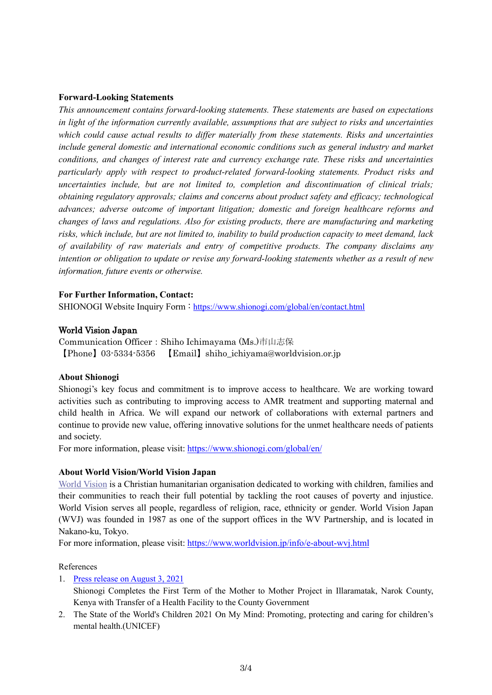## **Forward-Looking Statements**

*This announcement contains forward-looking statements. These statements are based on expectations in light of the information currently available, assumptions that are subject to risks and uncertainties which could cause actual results to differ materially from these statements. Risks and uncertainties include general domestic and international economic conditions such as general industry and market conditions, and changes of interest rate and currency exchange rate. These risks and uncertainties particularly apply with respect to product-related forward-looking statements. Product risks and uncertainties include, but are not limited to, completion and discontinuation of clinical trials; obtaining regulatory approvals; claims and concerns about product safety and efficacy; technological advances; adverse outcome of important litigation; domestic and foreign healthcare reforms and changes of laws and regulations. Also for existing products, there are manufacturing and marketing risks, which include, but are not limited to, inability to build production capacity to meet demand, lack of availability of raw materials and entry of competitive products. The company disclaims any intention or obligation to update or revise any forward-looking statements whether as a result of new information, future events or otherwise.*

### **For Further Information, Contact:**

SHIONOGI Website Inquiry Form : <https://www.shionogi.com/global/en/contact.html>

#### World Vision Japan

Communication Officer:Shiho Ichimayama (Ms.)市山志保 【Phone】03-5334-5356 【Email】shiho\_ichiyama@worldvision.or.jp

#### **About Shionogi**

Shionogi's key focus and commitment is to improve access to healthcare. We are working toward activities such as contributing to improving access to AMR treatment and supporting maternal and child health in Africa. We will expand our network of collaborations with external partners and continue to provide new value, offering innovative solutions for the unmet healthcare needs of patients and society.

For more information, please visit[: https://www.shionogi.com/global/en/](https://www.shionogi.com/global/en/)

#### **About World Vision/World Vision Japan**

[World Vision](http://www.wvi.org/) is a Christian humanitarian organisation dedicated to working with children, families and their communities to reach their full potential by tackling the root causes of poverty and injustice. World Vision serves all people, regardless of religion, race, ethnicity or gender. World Vision Japan (WVJ) was founded in 1987 as one of the support offices in the WV Partnership, and is located in Nakano-ku, Tokyo.

For more information, please visit[: https://www.worldvision.jp/info/e-about-wvj.html](https://www.worldvision.jp/info/e-about-wvj.html)

#### References

1. [Press release on August 3, 2021](https://www.shionogi.com/global/en/news/2021/08/e-210803.html)

Shionogi Completes the First Term of the Mother to Mother Project in Illaramatak, Narok County, Kenya with Transfer of a Health Facility to the County Government

2. The State of the World's Children 2021 On My Mind: Promoting, protecting and caring for children's mental health.(UNICEF)